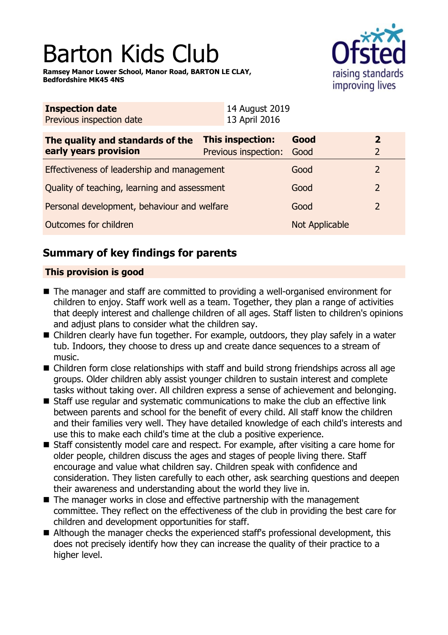# Barton Kids Club

**Ramsey Manor Lower School, Manor Road, BARTON LE CLAY, Bedfordshire MK45 4NS**



| <b>Inspection date</b><br>Previous inspection date        | 14 August 2019<br>13 April 2016               |                |                                  |
|-----------------------------------------------------------|-----------------------------------------------|----------------|----------------------------------|
| The quality and standards of the<br>early years provision | This inspection:<br>Previous inspection: Good | Good           | $\overline{2}$<br>$\overline{2}$ |
| Effectiveness of leadership and management                |                                               | Good           |                                  |
| Quality of teaching, learning and assessment              |                                               | Good           | $\overline{2}$                   |
| Personal development, behaviour and welfare               |                                               | Good           | $\overline{2}$                   |
| Outcomes for children                                     |                                               | Not Applicable |                                  |

# **Summary of key findings for parents**

#### **This provision is good**

- $\blacksquare$  The manager and staff are committed to providing a well-organised environment for children to enjoy. Staff work well as a team. Together, they plan a range of activities that deeply interest and challenge children of all ages. Staff listen to children's opinions and adjust plans to consider what the children say.
- Children clearly have fun together. For example, outdoors, they play safely in a water tub. Indoors, they choose to dress up and create dance sequences to a stream of music.
- $\blacksquare$  Children form close relationships with staff and build strong friendships across all age groups. Older children ably assist younger children to sustain interest and complete tasks without taking over. All children express a sense of achievement and belonging.
- $\blacksquare$  Staff use regular and systematic communications to make the club an effective link between parents and school for the benefit of every child. All staff know the children and their families very well. They have detailed knowledge of each child's interests and use this to make each child's time at the club a positive experience.
- Staff consistently model care and respect. For example, after visiting a care home for older people, children discuss the ages and stages of people living there. Staff encourage and value what children say. Children speak with confidence and consideration. They listen carefully to each other, ask searching questions and deepen their awareness and understanding about the world they live in.
- $\blacksquare$  The manager works in close and effective partnership with the management committee. They reflect on the effectiveness of the club in providing the best care for children and development opportunities for staff.
- Although the manager checks the experienced staff's professional development, this does not precisely identify how they can increase the quality of their practice to a higher level.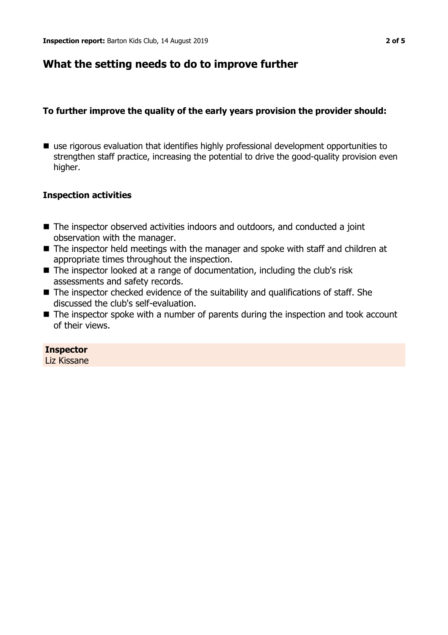## **What the setting needs to do to improve further**

#### **To further improve the quality of the early years provision the provider should:**

■ use rigorous evaluation that identifies highly professional development opportunities to strengthen staff practice, increasing the potential to drive the good-quality provision even higher.

#### **Inspection activities**

- $\blacksquare$  The inspector observed activities indoors and outdoors, and conducted a joint observation with the manager.
- $\blacksquare$  The inspector held meetings with the manager and spoke with staff and children at appropriate times throughout the inspection.
- $\blacksquare$  The inspector looked at a range of documentation, including the club's risk assessments and safety records.
- $\blacksquare$  The inspector checked evidence of the suitability and qualifications of staff. She discussed the club's self-evaluation.
- $\blacksquare$  The inspector spoke with a number of parents during the inspection and took account of their views.

#### **Inspector**

Liz Kissane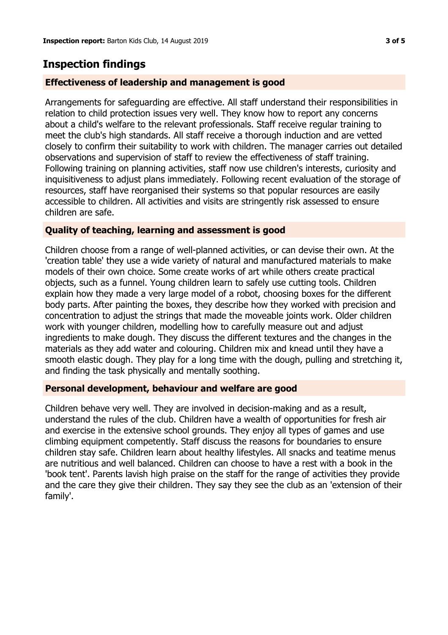## **Inspection findings**

#### **Effectiveness of leadership and management is good**

Arrangements for safeguarding are effective. All staff understand their responsibilities in relation to child protection issues very well. They know how to report any concerns about a child's welfare to the relevant professionals. Staff receive regular training to meet the club's high standards. All staff receive a thorough induction and are vetted closely to confirm their suitability to work with children. The manager carries out detailed observations and supervision of staff to review the effectiveness of staff training. Following training on planning activities, staff now use children's interests, curiosity and inquisitiveness to adjust plans immediately. Following recent evaluation of the storage of resources, staff have reorganised their systems so that popular resources are easily accessible to children. All activities and visits are stringently risk assessed to ensure children are safe.

#### **Quality of teaching, learning and assessment is good**

Children choose from a range of well-planned activities, or can devise their own. At the 'creation table' they use a wide variety of natural and manufactured materials to make models of their own choice. Some create works of art while others create practical objects, such as a funnel. Young children learn to safely use cutting tools. Children explain how they made a very large model of a robot, choosing boxes for the different body parts. After painting the boxes, they describe how they worked with precision and concentration to adjust the strings that made the moveable joints work. Older children work with younger children, modelling how to carefully measure out and adjust ingredients to make dough. They discuss the different textures and the changes in the materials as they add water and colouring. Children mix and knead until they have a smooth elastic dough. They play for a long time with the dough, pulling and stretching it, and finding the task physically and mentally soothing.

#### **Personal development, behaviour and welfare are good**

Children behave very well. They are involved in decision-making and as a result, understand the rules of the club. Children have a wealth of opportunities for fresh air and exercise in the extensive school grounds. They enjoy all types of games and use climbing equipment competently. Staff discuss the reasons for boundaries to ensure children stay safe. Children learn about healthy lifestyles. All snacks and teatime menus are nutritious and well balanced. Children can choose to have a rest with a book in the 'book tent'. Parents lavish high praise on the staff for the range of activities they provide and the care they give their children. They say they see the club as an 'extension of their family'.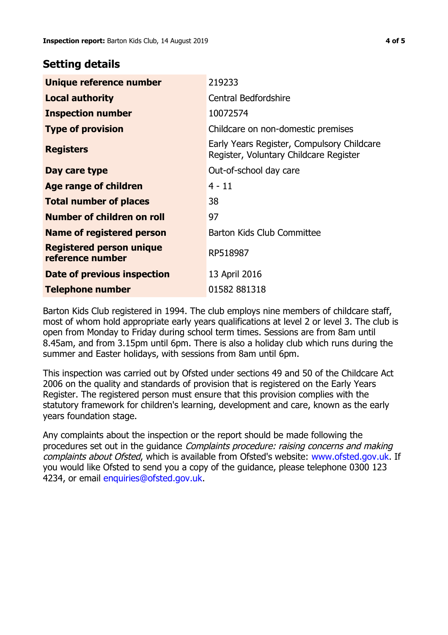### **Setting details**

| Unique reference number                             | 219233                                                                               |  |
|-----------------------------------------------------|--------------------------------------------------------------------------------------|--|
| <b>Local authority</b>                              | Central Bedfordshire                                                                 |  |
| <b>Inspection number</b>                            | 10072574                                                                             |  |
| <b>Type of provision</b>                            | Childcare on non-domestic premises                                                   |  |
| <b>Registers</b>                                    | Early Years Register, Compulsory Childcare<br>Register, Voluntary Childcare Register |  |
| Day care type                                       | Out-of-school day care                                                               |  |
| Age range of children                               | $4 - 11$                                                                             |  |
| <b>Total number of places</b>                       | 38                                                                                   |  |
| Number of children on roll                          | 97                                                                                   |  |
| Name of registered person                           | Barton Kids Club Committee                                                           |  |
| <b>Registered person unique</b><br>reference number | RP518987                                                                             |  |
| <b>Date of previous inspection</b>                  | 13 April 2016                                                                        |  |
| <b>Telephone number</b>                             | 01582 881318                                                                         |  |

Barton Kids Club registered in 1994. The club employs nine members of childcare staff, most of whom hold appropriate early years qualifications at level 2 or level 3. The club is open from Monday to Friday during school term times. Sessions are from 8am until 8.45am, and from 3.15pm until 6pm. There is also a holiday club which runs during the summer and Easter holidays, with sessions from 8am until 6pm.

This inspection was carried out by Ofsted under sections 49 and 50 of the Childcare Act 2006 on the quality and standards of provision that is registered on the Early Years Register. The registered person must ensure that this provision complies with the statutory framework for children's learning, development and care, known as the early years foundation stage.

Any complaints about the inspection or the report should be made following the procedures set out in the guidance Complaints procedure: raising concerns and making complaints about Ofsted, which is available from Ofsted's website: www.ofsted.gov.uk. If you would like Ofsted to send you a copy of the guidance, please telephone 0300 123 4234, or email [enquiries@ofsted.gov.uk.](mailto:enquiries@ofsted.gov.uk)